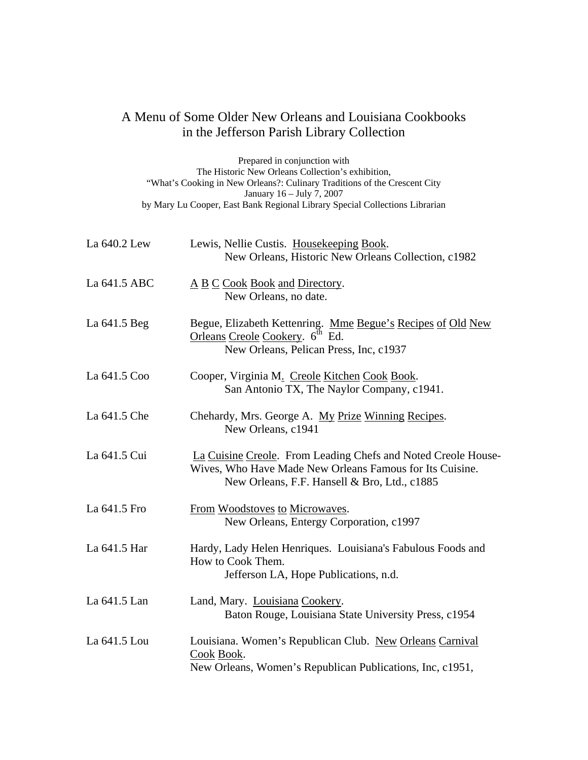## A Menu of Some Older New Orleans and Louisiana Cookbooks in the Jefferson Parish Library Collection

Prepared in conjunction with The Historic New Orleans Collection's exhibition, "What's Cooking in New Orleans?: Culinary Traditions of the Crescent City January 16 – July 7, 2007 by Mary Lu Cooper, East Bank Regional Library Special Collections Librarian

| La 640.2 Lew | Lewis, Nellie Custis. Housekeeping Book.<br>New Orleans, Historic New Orleans Collection, c1982                                                                           |
|--------------|---------------------------------------------------------------------------------------------------------------------------------------------------------------------------|
| La 641.5 ABC | A B C Cook Book and Directory.<br>New Orleans, no date.                                                                                                                   |
| La 641.5 Beg | Begue, Elizabeth Kettenring. Mme Begue's Recipes of Old New<br>Orleans Creole Cookery. 6 <sup>th</sup> Ed.<br>New Orleans, Pelican Press, Inc, c1937                      |
| La 641.5 Coo | Cooper, Virginia M. Creole Kitchen Cook Book.<br>San Antonio TX, The Naylor Company, c1941.                                                                               |
| La 641.5 Che | Chehardy, Mrs. George A. My Prize Winning Recipes.<br>New Orleans, c1941                                                                                                  |
| La 641.5 Cui | La Cuisine Creole. From Leading Chefs and Noted Creole House-<br>Wives, Who Have Made New Orleans Famous for Its Cuisine.<br>New Orleans, F.F. Hansell & Bro, Ltd., c1885 |
| La 641.5 Fro | From Woodstoves to Microwaves.<br>New Orleans, Entergy Corporation, c1997                                                                                                 |
| La 641.5 Har | Hardy, Lady Helen Henriques. Louisiana's Fabulous Foods and<br>How to Cook Them.<br>Jefferson LA, Hope Publications, n.d.                                                 |
| La 641.5 Lan | Land, Mary. Louisiana Cookery.<br>Baton Rouge, Louisiana State University Press, c1954                                                                                    |
| La 641.5 Lou | Louisiana. Women's Republican Club. New Orleans Carnival<br>Cook Book.<br>New Orleans, Women's Republican Publications, Inc, c1951,                                       |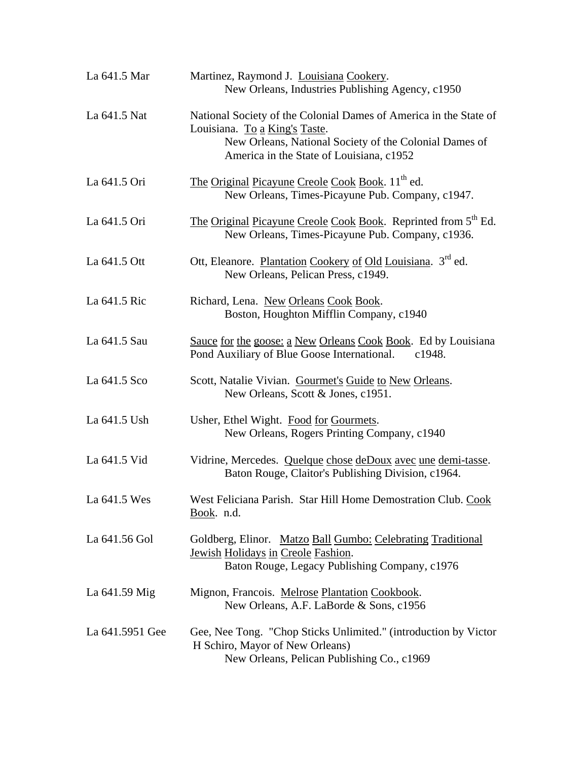| La 641.5 Mar    | Martinez, Raymond J. Louisiana Cookery.<br>New Orleans, Industries Publishing Agency, c1950                                                                                                              |
|-----------------|----------------------------------------------------------------------------------------------------------------------------------------------------------------------------------------------------------|
| La 641.5 Nat    | National Society of the Colonial Dames of America in the State of<br>Louisiana. To a King's Taste.<br>New Orleans, National Society of the Colonial Dames of<br>America in the State of Louisiana, c1952 |
| La 641.5 Ori    | The Original Picayune Creole Cook Book. 11 <sup>th</sup> ed.<br>New Orleans, Times-Picayune Pub. Company, c1947.                                                                                         |
| La 641.5 Ori    | The Original Picayune Creole Cook Book. Reprinted from 5 <sup>th</sup> Ed.<br>New Orleans, Times-Picayune Pub. Company, c1936.                                                                           |
| La 641.5 Ott    | Ott, Eleanore. Plantation Cookery of Old Louisiana. 3 <sup>rd</sup> ed.<br>New Orleans, Pelican Press, c1949.                                                                                            |
| La 641.5 Ric    | Richard, Lena. New Orleans Cook Book.<br>Boston, Houghton Mifflin Company, c1940                                                                                                                         |
| La 641.5 Sau    | Sauce for the goose: a New Orleans Cook Book. Ed by Louisiana<br>Pond Auxiliary of Blue Goose International. c1948.                                                                                      |
| La 641.5 Sco    | Scott, Natalie Vivian. Gourmet's Guide to New Orleans.<br>New Orleans, Scott & Jones, c1951.                                                                                                             |
| La 641.5 Ush    | Usher, Ethel Wight. Food for Gourmets.<br>New Orleans, Rogers Printing Company, c1940                                                                                                                    |
| La 641.5 Vid    | Vidrine, Mercedes. Quelque chose deDoux avec une demi-tasse.<br>Baton Rouge, Claitor's Publishing Division, c1964.                                                                                       |
| La 641.5 Wes    | West Feliciana Parish. Star Hill Home Demostration Club. Cook<br>Book. n.d.                                                                                                                              |
| La 641.56 Gol   | Goldberg, Elinor. Matzo Ball Gumbo: Celebrating Traditional<br>Jewish Holidays in Creole Fashion.<br>Baton Rouge, Legacy Publishing Company, c1976                                                       |
| La 641.59 Mig   | Mignon, Francois. Melrose Plantation Cookbook.<br>New Orleans, A.F. LaBorde & Sons, c1956                                                                                                                |
| La 641.5951 Gee | Gee, Nee Tong. "Chop Sticks Unlimited." (introduction by Victor<br>H Schiro, Mayor of New Orleans)<br>New Orleans, Pelican Publishing Co., c1969                                                         |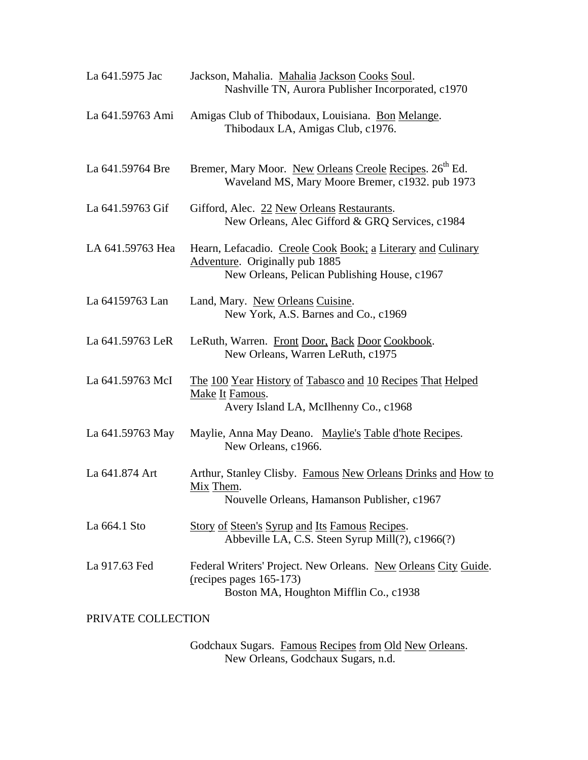| La 641.5975 Jac  | Jackson, Mahalia. Mahalia Jackson Cooks Soul.<br>Nashville TN, Aurora Publisher Incorporated, c1970                                           |
|------------------|-----------------------------------------------------------------------------------------------------------------------------------------------|
| La 641.59763 Ami | Amigas Club of Thibodaux, Louisiana. Bon Melange.<br>Thibodaux LA, Amigas Club, c1976.                                                        |
| La 641.59764 Bre | Bremer, Mary Moor. New Orleans Creole Recipes. 26 <sup>th</sup> Ed.<br>Waveland MS, Mary Moore Bremer, c1932. pub 1973                        |
| La 641.59763 Gif | Gifford, Alec. 22 New Orleans Restaurants.<br>New Orleans, Alec Gifford & GRQ Services, c1984                                                 |
| LA 641.59763 Hea | Hearn, Lefacadio. Creole Cook Book; a Literary and Culinary<br>Adventure. Originally pub 1885<br>New Orleans, Pelican Publishing House, c1967 |
| La 64159763 Lan  | Land, Mary. New Orleans Cuisine.<br>New York, A.S. Barnes and Co., c1969                                                                      |
| La 641.59763 LeR | LeRuth, Warren. Front Door, Back Door Cookbook.<br>New Orleans, Warren LeRuth, c1975                                                          |
| La 641.59763 McI | The 100 Year History of Tabasco and 10 Recipes That Helped<br>Make It Famous.<br>Avery Island LA, McIlhenny Co., c1968                        |
| La 641.59763 May | Maylie, Anna May Deano. Maylie's Table d'hote Recipes.<br>New Orleans, c1966.                                                                 |
| La 641.874 Art   | Arthur, Stanley Clisby. Famous New Orleans Drinks and How to<br>Mix Them.<br>Nouvelle Orleans, Hamanson Publisher, c1967                      |
| La 664.1 Sto     | <b>Story of Steen's Syrup and Its Famous Recipes.</b><br>Abbeville LA, C.S. Steen Syrup Mill(?), c1966(?)                                     |
| La 917.63 Fed    | Federal Writers' Project. New Orleans. New Orleans City Guide.<br>$(recipes$ pages 165-173)<br>Boston MA, Houghton Mifflin Co., c1938         |

PRIVATE COLLECTION

Godchaux Sugars. Famous Recipes from Old New Orleans. New Orleans, Godchaux Sugars, n.d.